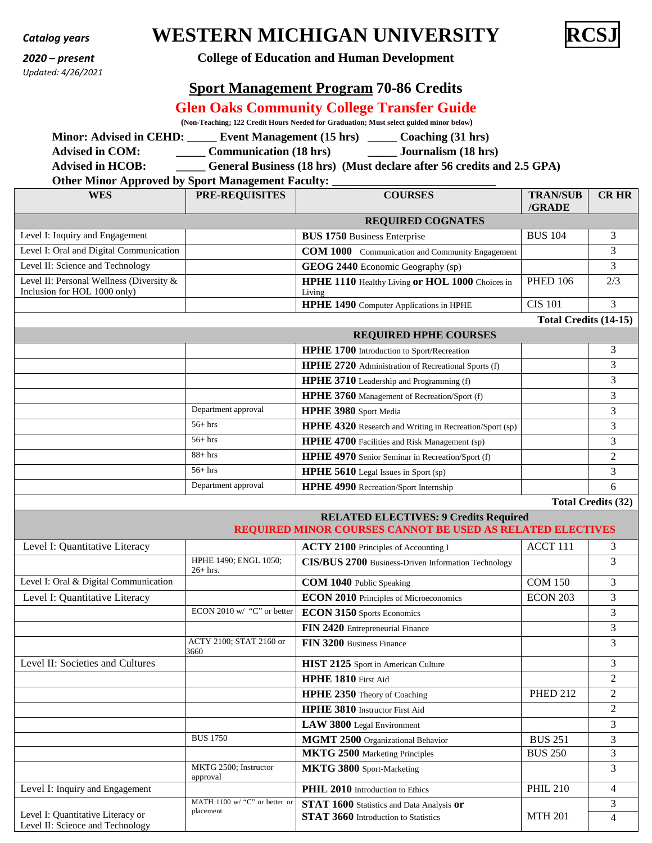| <b>Catalog years</b> |
|----------------------|
|----------------------|

*Updated: 4/26/2021*

# **WESTERN MICHIGAN UNIVERSITY**



### *2020 – present* **College of Education and Human Development**

# **Sport Management Program 70-86 Credits**

# **Glen Oaks Community College Transfer Guide**

**(Non-Teaching; 122 Credit Hours Needed for Graduation; Must select guided minor below)** 

**Minor: Advised in CEHD:** Event Management (15 hrs) Coaching (31 hrs)

**Advised in COM: \_\_\_\_\_ Communication (18 hrs) \_\_\_\_\_ Journalism (18 hrs)** 

56+ hrs **HPHE 5610** Legal Issues in Sport (sp) 3

**Advised in HCOB: \_\_\_\_\_ General Business (18 hrs) (Must declare after 56 credits and 2.5 GPA)**

### **Other Minor Approved by Sport Management Faculty:**

| 7 T                                                                      |                       |                                                            |                           |                |
|--------------------------------------------------------------------------|-----------------------|------------------------------------------------------------|---------------------------|----------------|
| <b>WES</b>                                                               | <b>PRE-REQUISITES</b> | <b>COURSES</b>                                             | <b>TRAN/SUB</b><br>/GRADE | <b>CR HR</b>   |
|                                                                          |                       | <b>REQUIRED COGNATES</b>                                   |                           |                |
| Level I: Inquiry and Engagement                                          |                       | <b>BUS 1750</b> Business Enterprise                        | <b>BUS 104</b>            | 3              |
| Level I: Oral and Digital Communication                                  |                       | <b>COM 1000</b> Communication and Community Engagement     |                           | 3              |
| Level II: Science and Technology                                         |                       | GEOG 2440 Economic Geography (sp)                          |                           | 3              |
| Level II: Personal Wellness (Diversity &<br>Inclusion for HOL 1000 only) |                       | HPHE 1110 Healthy Living or HOL 1000 Choices in<br>Living  | <b>PHED 106</b>           | 2/3            |
|                                                                          |                       | <b>HPHE 1490</b> Computer Applications in HPHE             | <b>CIS 101</b>            | 3              |
|                                                                          |                       |                                                            | Total Credits (14-15)     |                |
|                                                                          |                       | <b>REQUIRED HPHE COURSES</b>                               |                           |                |
|                                                                          |                       | HPHE 1700 Introduction to Sport/Recreation                 |                           | 3              |
|                                                                          |                       | <b>HPHE 2720</b> Administration of Recreational Sports (f) |                           | 3              |
|                                                                          |                       | HPHE 3710 Leadership and Programming (f)                   |                           | 3              |
|                                                                          |                       | HPHE 3760 Management of Recreation/Sport (f)               |                           | 3              |
|                                                                          | Department approval   | HPHE 3980 Sport Media                                      |                           | 3              |
|                                                                          | $56+$ hrs             | HPHE 4320 Research and Writing in Recreation/Sport (sp)    |                           | 3              |
|                                                                          | $56+$ hrs             | HPHE 4700 Facilities and Risk Management (sp)              |                           | 3              |
|                                                                          | $88 + hrs$            | HPHE 4970 Senior Seminar in Recreation/Sport (f)           |                           | $\overline{2}$ |

Department approval **HPHE 4990** Recreation/Sport Internship 6

**Total Credits (32)** 

|                                                                       |                                                                | <b>RELATED ELECTIVES: 9 Credits Required</b><br>REQUIRED MINOR COURSES CANNOT BE USED AS RELATED ELECTIVES |                 |                |
|-----------------------------------------------------------------------|----------------------------------------------------------------|------------------------------------------------------------------------------------------------------------|-----------------|----------------|
| Level I: Quantitative Literacy                                        |                                                                | ACTY 2100 Principles of Accounting I                                                                       | ACCT 111        | 3              |
|                                                                       | HPHE 1490; ENGL 1050;<br>$26+$ hrs.                            | <b>CIS/BUS 2700</b> Business-Driven Information Technology                                                 |                 | 3              |
| Level I: Oral & Digital Communication                                 |                                                                | <b>COM 1040</b> Public Speaking                                                                            | <b>COM 150</b>  | 3              |
| Level I: Quantitative Literacy                                        |                                                                | ECON 2010 Principles of Microeconomics                                                                     | ECON 203        | 3              |
|                                                                       | ECON 2010 w/ "C" or better                                     | ECON 3150 Sports Economics                                                                                 |                 | 3              |
|                                                                       |                                                                | FIN 2420 Entrepreneurial Finance                                                                           |                 | 3              |
|                                                                       | ACTY 2100: STAT 2160 or<br>3660                                | FIN 3200 Business Finance                                                                                  |                 | 3              |
| Level II: Societies and Cultures                                      |                                                                | HIST 2125 Sport in American Culture                                                                        |                 | 3              |
|                                                                       |                                                                | <b>HPHE 1810</b> First Aid                                                                                 |                 | $\overline{c}$ |
|                                                                       |                                                                | <b>HPHE 2350</b> Theory of Coaching                                                                        | <b>PHED 212</b> | $\overline{2}$ |
|                                                                       |                                                                | HPHE 3810 Instructor First Aid                                                                             |                 | $\overline{2}$ |
|                                                                       |                                                                | LAW 3800 Legal Environment                                                                                 |                 | 3              |
|                                                                       | <b>BUS 1750</b>                                                | MGMT 2500 Organizational Behavior                                                                          | <b>BUS 251</b>  | 3              |
|                                                                       |                                                                | MKTG 2500 Marketing Principles                                                                             | <b>BUS 250</b>  | 3              |
|                                                                       | MKTG 2500; Instructor<br>approval                              | MKTG 3800 Sport-Marketing                                                                                  |                 | 3              |
| Level I: Inquiry and Engagement                                       |                                                                | PHIL 2010 Introduction to Ethics                                                                           | <b>PHIL 210</b> | 4              |
|                                                                       | $\overline{\text{MATH}}$ 1100 w/ "C" or better or<br>placement | STAT 1600 Statistics and Data Analysis or                                                                  |                 | 3              |
| Level I: Quantitative Literacy or<br>Level II: Science and Technology |                                                                | <b>STAT 3660</b> Introduction to Statistics                                                                | <b>MTH 201</b>  | 4              |